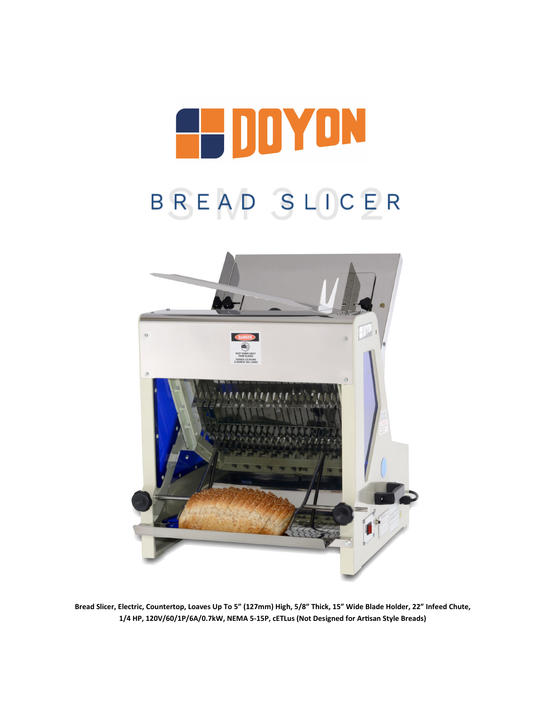



**Bread Slicer, Electric, Countertop, Loaves Up To 5" (127mm) High, 5/8" Thick, 15" Wide Blade Holder, 22" Infeed Chute, 1/4 HP, 120V/60/1P/6A/0.7kW, NEMA 5-15P, cETLus (Not Designed for Artisan Style Breads)**